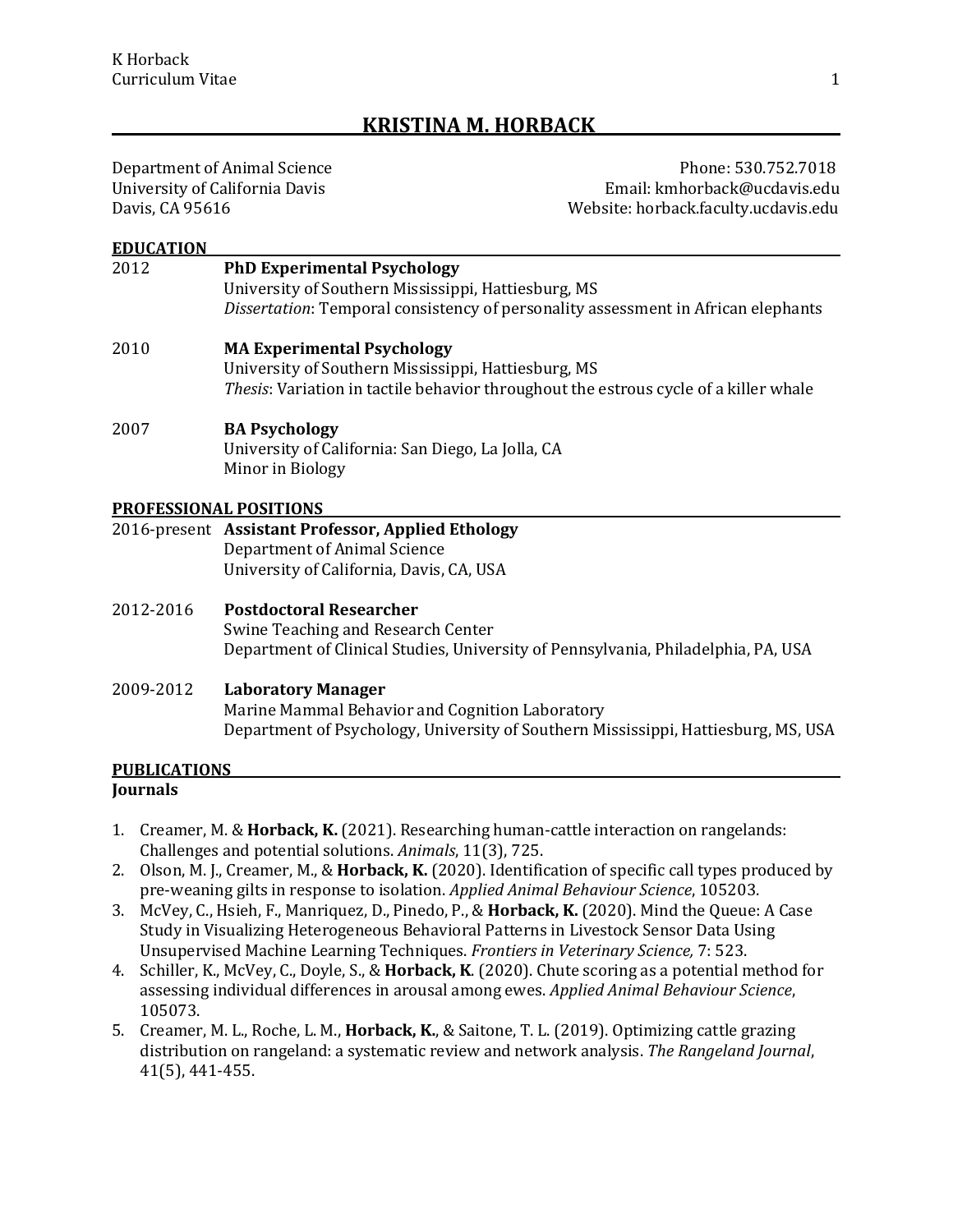# **KRISTINA M. HORBACK**

Department of Animal Science<br>University of California Davis Phone: 530.752.7018 University of California Davis Email: kmhorback@ucdavis.edu Website: horback.faculty.ucdavis.edu

#### **EDUCATION**

# 2012 **PhD Experimental Psychology** University of Southern Mississippi, Hattiesburg, MS *Dissertation*: Temporal consistency of personality assessment in African elephants 2010 **MA Experimental Psychology** University of Southern Mississippi, Hattiesburg, MS *Thesis*: Variation in tactile behavior throughout the estrous cycle of a killer whale 2007 **BA Psychology** University of California: San Diego, La Jolla, CA

Minor in Biology

#### **PROFESSIONAL POSITIONS**

#### 2016-present **Assistant Professor, Applied Ethology** Department of Animal Science University of California, Davis, CA, USA

2012-2016 **Postdoctoral Researcher** Swine Teaching and Research Center Department of Clinical Studies, University of Pennsylvania, Philadelphia, PA, USA

#### 2009-2012 **Laboratory Manager**

Marine Mammal Behavior and Cognition Laboratory Department of Psychology, University of Southern Mississippi, Hattiesburg, MS, USA

## **PUBLICATIONS**

### **Journals**

- 1. Creamer, M. & **Horback, K.** (2021). Researching human-cattle interaction on rangelands: Challenges and potential solutions. *Animals*, 11(3), 725.
- 2. Olson, M. J., Creamer, M., & **Horback, K.** (2020). Identification of specific call types produced by pre-weaning gilts in response to isolation. *Applied Animal Behaviour Science*, 105203.
- 3. McVey, C., Hsieh, F., Manriquez, D., Pinedo, P., & **Horback, K.** (2020). Mind the Queue: A Case Study in Visualizing Heterogeneous Behavioral Patterns in Livestock Sensor Data Using Unsupervised Machine Learning Techniques. *Frontiers in Veterinary Science,* 7: 523.
- 4. Schiller, K., McVey, C., Doyle, S., & **Horback, K**. (2020). Chute scoring as a potential method for assessing individual differences in arousal among ewes. *Applied Animal Behaviour Science*, 105073.
- 5. Creamer, M. L., Roche, L. M., **Horback, K.**, & Saitone, T. L. (2019). Optimizing cattle grazing distribution on rangeland: a systematic review and network analysis. *The Rangeland Journal*, 41(5), 441-455.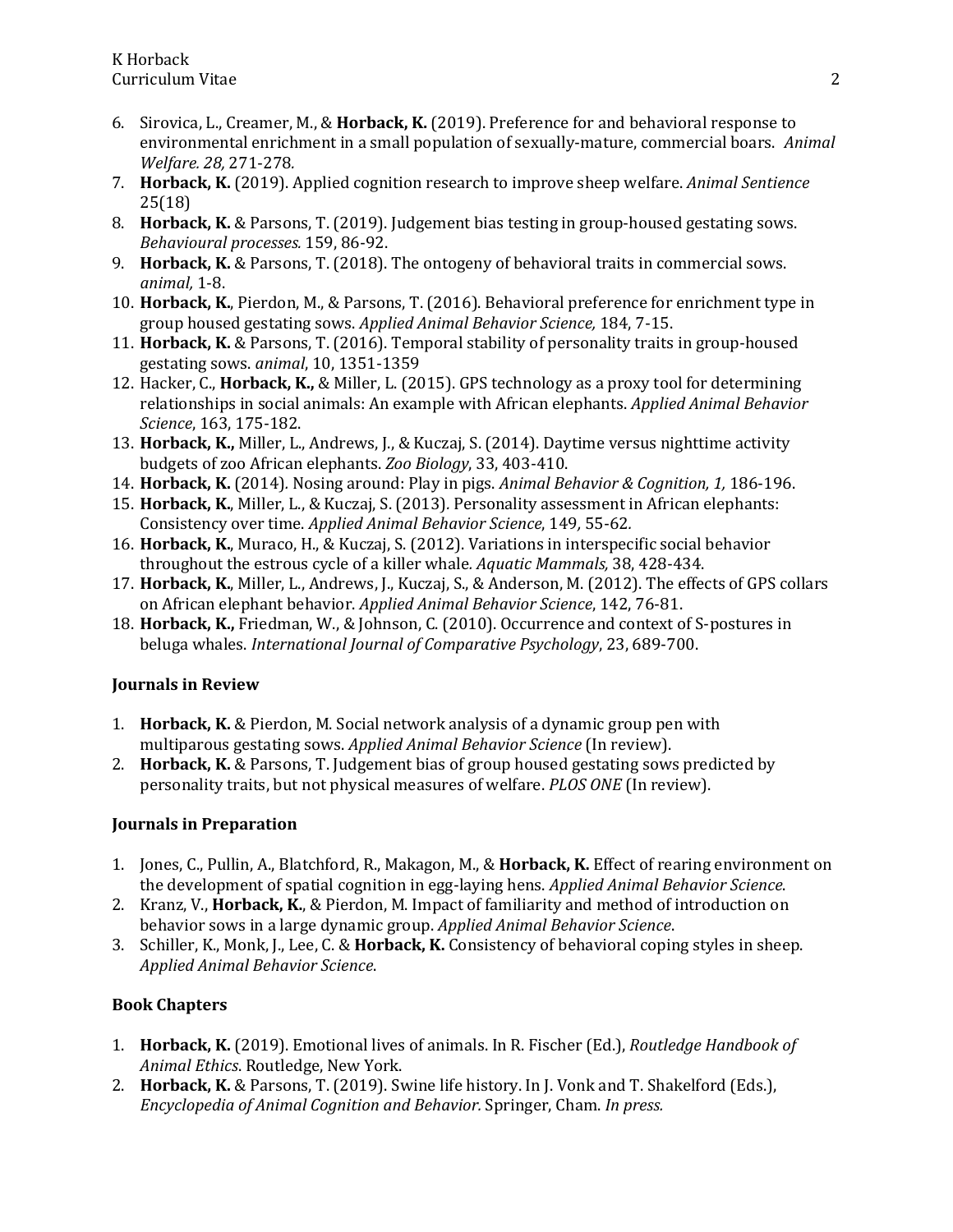- 6. Sirovica, L., Creamer, M., & **Horback, K.** (2019). Preference for and behavioral response to environmental enrichment in a small population of sexually-mature, commercial boars. *Animal Welfare. 28,* 271-278*.*
- 7. **Horback, K.** (2019). Applied cognition research to improve sheep welfare. *Animal Sentience* 25(18)
- 8. **Horback, K.** & Parsons, T. (2019). Judgement bias testing in group-housed gestating sows. *Behavioural processes.* 159, 86-92.
- 9. **Horback, K.** & Parsons, T. (2018). The ontogeny of behavioral traits in commercial sows. *animal,* 1-8.
- 10. **Horback, K.**, Pierdon, M., & Parsons, T. (2016). Behavioral preference for enrichment type in group housed gestating sows. *Applied Animal Behavior Science,* 184, 7-15.
- 11. **Horback, K.** & Parsons, T. (2016). Temporal stability of personality traits in group-housed gestating sows. *animal*, 10, 1351-1359
- 12. Hacker, C., **Horback, K.,** & Miller, L. (2015). GPS technology as a proxy tool for determining relationships in social animals: An example with African elephants. *Applied Animal Behavior Science*, 163, 175-182.
- 13. **Horback, K.,** Miller, L., Andrews, J., & Kuczaj, S. (2014). Daytime versus nighttime activity budgets of zoo African elephants. *Zoo Biology*, 33, 403-410.
- 14. **Horback, K.** (2014)*.* Nosing around: Play in pigs. *Animal Behavior & Cognition, 1,* 186-196.
- 15. **Horback, K.**, Miller, L., & Kuczaj, S. (2013)*.* Personality assessment in African elephants: Consistency over time. *Applied Animal Behavior Science*, 149*,* 55-62*.*
- 16. **Horback, K.**, Muraco, H., & Kuczaj, S. (2012). Variations in interspecific social behavior throughout the estrous cycle of a killer whale*. Aquatic Mammals,* 38, 428-434.
- 17. **Horback, K.**, Miller, L., Andrews, J., Kuczaj, S., & Anderson, M. (2012). The effects of GPS collars on African elephant behavior. *Applied Animal Behavior Science*, 142, 76-81.
- 18. **Horback, K.,** Friedman, W., & Johnson, C. (2010). Occurrence and context of S-postures in beluga whales. *International Journal of Comparative Psychology*, 23, 689-700.

## **Journals in Review**

- 1. **Horback, K.** & Pierdon, M. Social network analysis of a dynamic group pen with multiparous gestating sows. *Applied Animal Behavior Science* (In review).
- 2. **Horback, K.** & Parsons, T. Judgement bias of group housed gestating sows predicted by personality traits, but not physical measures of welfare. *PLOS ONE* (In review).

## **Journals in Preparation**

- 1. Jones, C., Pullin, A., Blatchford, R., Makagon, M., & **Horback, K.** Effect of rearing environment on the development of spatial cognition in egg-laying hens. *Applied Animal Behavior Science*.
- 2. Kranz, V., **Horback, K.**, & Pierdon, M. Impact of familiarity and method of introduction on behavior sows in a large dynamic group. *Applied Animal Behavior Science*.
- 3. Schiller, K., Monk, J., Lee, C. & **Horback, K.** Consistency of behavioral coping styles in sheep. *Applied Animal Behavior Science*.

## **Book Chapters**

- 1. **Horback, K.** (2019). Emotional lives of animals. In R. Fischer (Ed.), *Routledge Handbook of Animal Ethics*. Routledge, New York.
- 2. **Horback, K.** & Parsons, T. (2019). Swine life history. In J. Vonk and T. Shakelford (Eds.), *Encyclopedia of Animal Cognition and Behavior.* Springer, Cham. *In press.*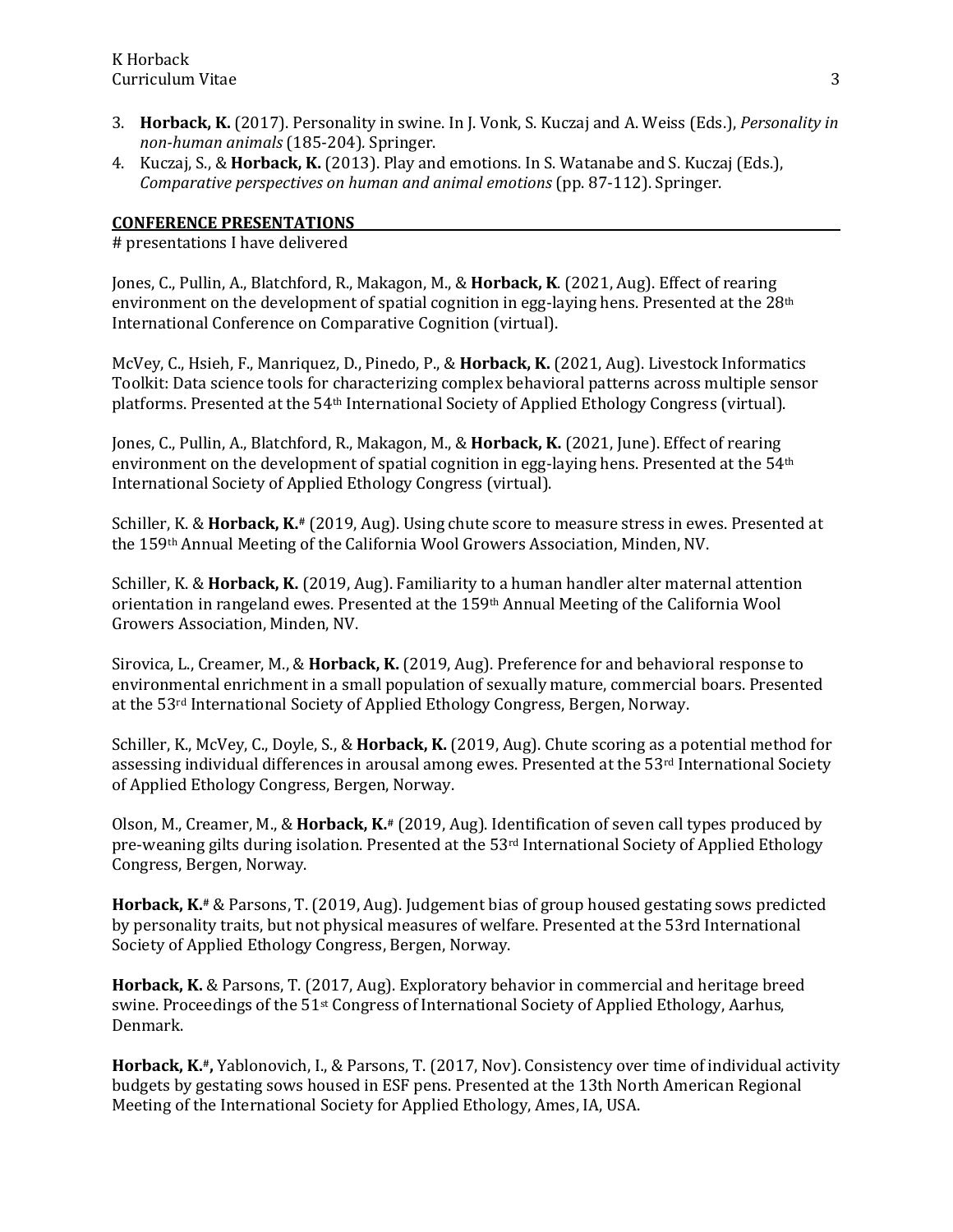- 3. **Horback, K.** (2017). Personality in swine. In J. Vonk, S. Kuczaj and A. Weiss (Eds.), *Personality in non-human animals* (185-204)*.* Springer.
- 4. Kuczaj, S., & **Horback, K.** (2013). Play and emotions. In S. Watanabe and S. Kuczaj (Eds.), *Comparative perspectives on human and animal emotions* (pp. 87-112). Springer.

## **CONFERENCE PRESENTATIONS**

# presentations I have delivered

Jones, C., Pullin, A., Blatchford, R., Makagon, M., & **Horback, K**. (2021, Aug). Effect of rearing environment on the development of spatial cognition in egg-laying hens. Presented at the 28th International Conference on Comparative Cognition (virtual).

McVey, C., Hsieh, F., Manriquez, D., Pinedo, P., & **Horback, K.** (2021, Aug). Livestock Informatics Toolkit: Data science tools for characterizing complex behavioral patterns across multiple sensor platforms. Presented at the 54th International Society of Applied Ethology Congress (virtual).

Jones, C., Pullin, A., Blatchford, R., Makagon, M., & **Horback, K.** (2021, June). Effect of rearing environment on the development of spatial cognition in egg-laying hens. Presented at the 54th International Society of Applied Ethology Congress (virtual).

Schiller, K. & **Horback, K.#** (2019, Aug). Using chute score to measure stress in ewes. Presented at the 159th Annual Meeting of the California Wool Growers Association, Minden, NV.

Schiller, K. & **Horback, K.** (2019, Aug). Familiarity to a human handler alter maternal attention orientation in rangeland ewes. Presented at the 159th Annual Meeting of the California Wool Growers Association, Minden, NV.

Sirovica, L., Creamer, M., & **Horback, K.** (2019, Aug). Preference for and behavioral response to environmental enrichment in a small population of sexually mature, commercial boars. Presented at the 53rd International Society of Applied Ethology Congress, Bergen, Norway.

Schiller, K., McVey, C., Doyle, S., & **Horback, K.** (2019, Aug). Chute scoring as a potential method for assessing individual differences in arousal among ewes. Presented at the  $53<sup>rd</sup>$  International Society of Applied Ethology Congress, Bergen, Norway.

Olson, M., Creamer, M., & **Horback, K.#** (2019, Aug). Identification of seven call types produced by pre-weaning gilts during isolation. Presented at the 53rd International Society of Applied Ethology Congress, Bergen, Norway.

**Horback, K.#** & Parsons, T. (2019, Aug). Judgement bias of group housed gestating sows predicted by personality traits, but not physical measures of welfare. Presented at the 53rd International Society of Applied Ethology Congress, Bergen, Norway.

**Horback, K.** & Parsons, T. (2017, Aug). Exploratory behavior in commercial and heritage breed swine. Proceedings of the 51st Congress of International Society of Applied Ethology, Aarhus, Denmark.

**Horback, K.#,** Yablonovich, I., & Parsons, T. (2017, Nov). Consistency over time of individual activity budgets by gestating sows housed in ESF pens. Presented at the 13th North American Regional Meeting of the International Society for Applied Ethology, Ames, IA, USA.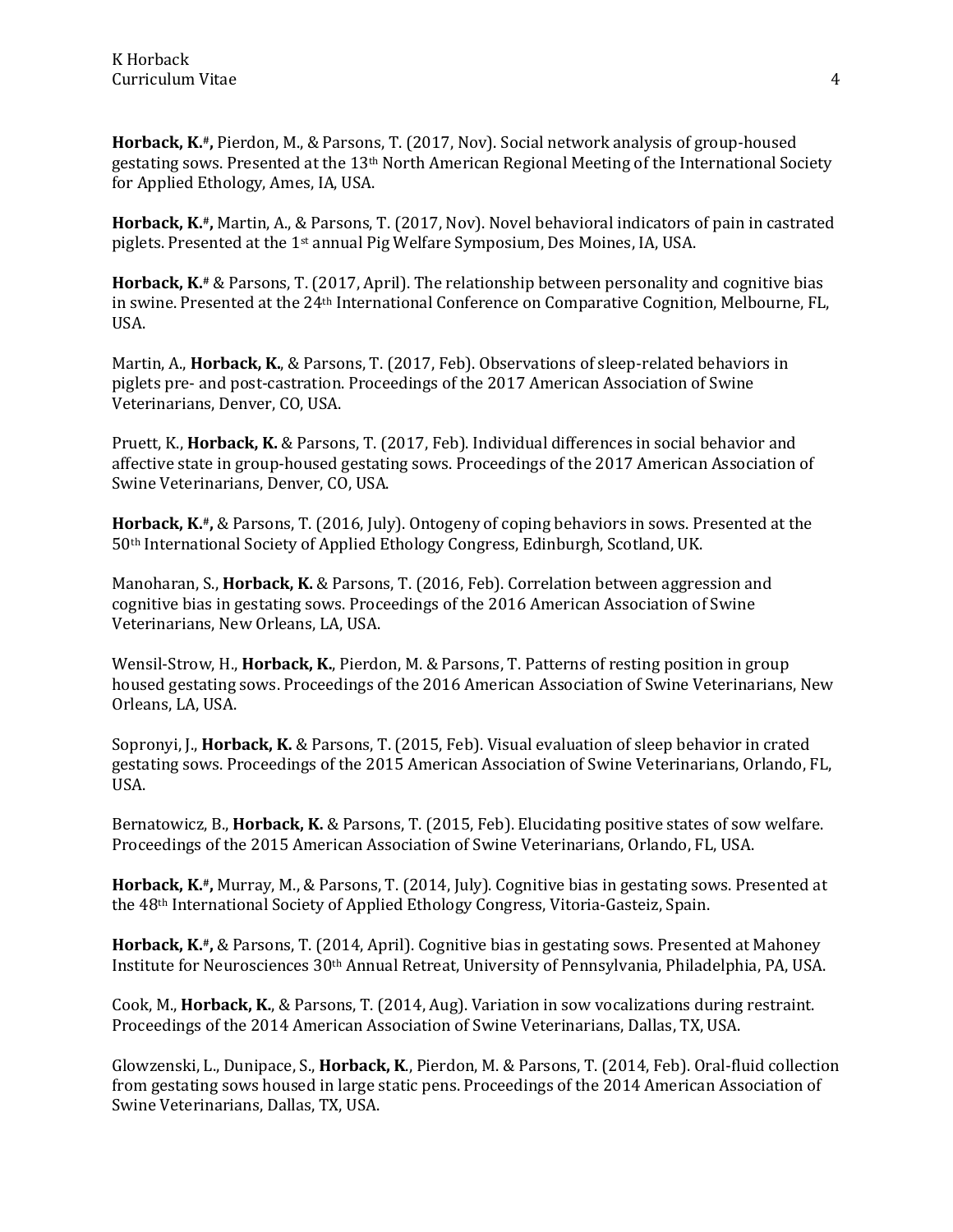**Horback, K.#,** Pierdon, M., & Parsons, T. (2017, Nov). Social network analysis of group-housed gestating sows. Presented at the 13th North American Regional Meeting of the International Society for Applied Ethology, Ames, IA, USA.

**Horback, K.#,** Martin, A., & Parsons, T. (2017, Nov). Novel behavioral indicators of pain in castrated piglets. Presented at the 1st annual Pig Welfare Symposium, Des Moines, IA, USA.

**Horback, K.#** & Parsons, T. (2017, April). The relationship between personality and cognitive bias in swine. Presented at the 24th International Conference on Comparative Cognition, Melbourne, FL, USA.

Martin, A., **Horback, K.**, & Parsons, T. (2017, Feb). Observations of sleep-related behaviors in piglets pre- and post-castration. Proceedings of the 2017 American Association of Swine Veterinarians, Denver, CO, USA.

Pruett, K., **Horback, K.** & Parsons, T. (2017, Feb). Individual differences in social behavior and affective state in group-housed gestating sows. Proceedings of the 2017 American Association of Swine Veterinarians, Denver, CO, USA.

**Horback, K.#,** & Parsons, T. (2016, July). Ontogeny of coping behaviors in sows. Presented at the 50th International Society of Applied Ethology Congress, Edinburgh, Scotland, UK.

Manoharan, S., **Horback, K.** & Parsons, T. (2016, Feb). Correlation between aggression and cognitive bias in gestating sows. Proceedings of the 2016 American Association of Swine Veterinarians, New Orleans, LA, USA.

Wensil-Strow, H., **Horback, K.**, Pierdon, M. & Parsons, T. Patterns of resting position in group housed gestating sows. Proceedings of the 2016 American Association of Swine Veterinarians, New Orleans, LA, USA.

Sopronyi, J., **Horback, K.** & Parsons, T. (2015, Feb). Visual evaluation of sleep behavior in crated gestating sows. Proceedings of the 2015 American Association of Swine Veterinarians, Orlando, FL, USA.

Bernatowicz, B., **Horback, K.** & Parsons, T. (2015, Feb). Elucidating positive states of sow welfare. Proceedings of the 2015 American Association of Swine Veterinarians, Orlando, FL, USA.

**Horback, K.#,** Murray, M., & Parsons, T. (2014, July). Cognitive bias in gestating sows. Presented at the 48th International Society of Applied Ethology Congress, Vitoria-Gasteiz, Spain.

**Horback, K.#,** & Parsons, T. (2014, April). Cognitive bias in gestating sows. Presented at Mahoney Institute for Neurosciences 30th Annual Retreat, University of Pennsylvania, Philadelphia, PA, USA.

Cook, M., **Horback, K.**, & Parsons, T. (2014, Aug). Variation in sow vocalizations during restraint. Proceedings of the 2014 American Association of Swine Veterinarians, Dallas, TX, USA.

Glowzenski, L., Dunipace, S., **Horback, K**., Pierdon, M. & Parsons, T. (2014, Feb). Oral-fluid collection from gestating sows housed in large static pens. Proceedings of the 2014 American Association of Swine Veterinarians, Dallas, TX, USA.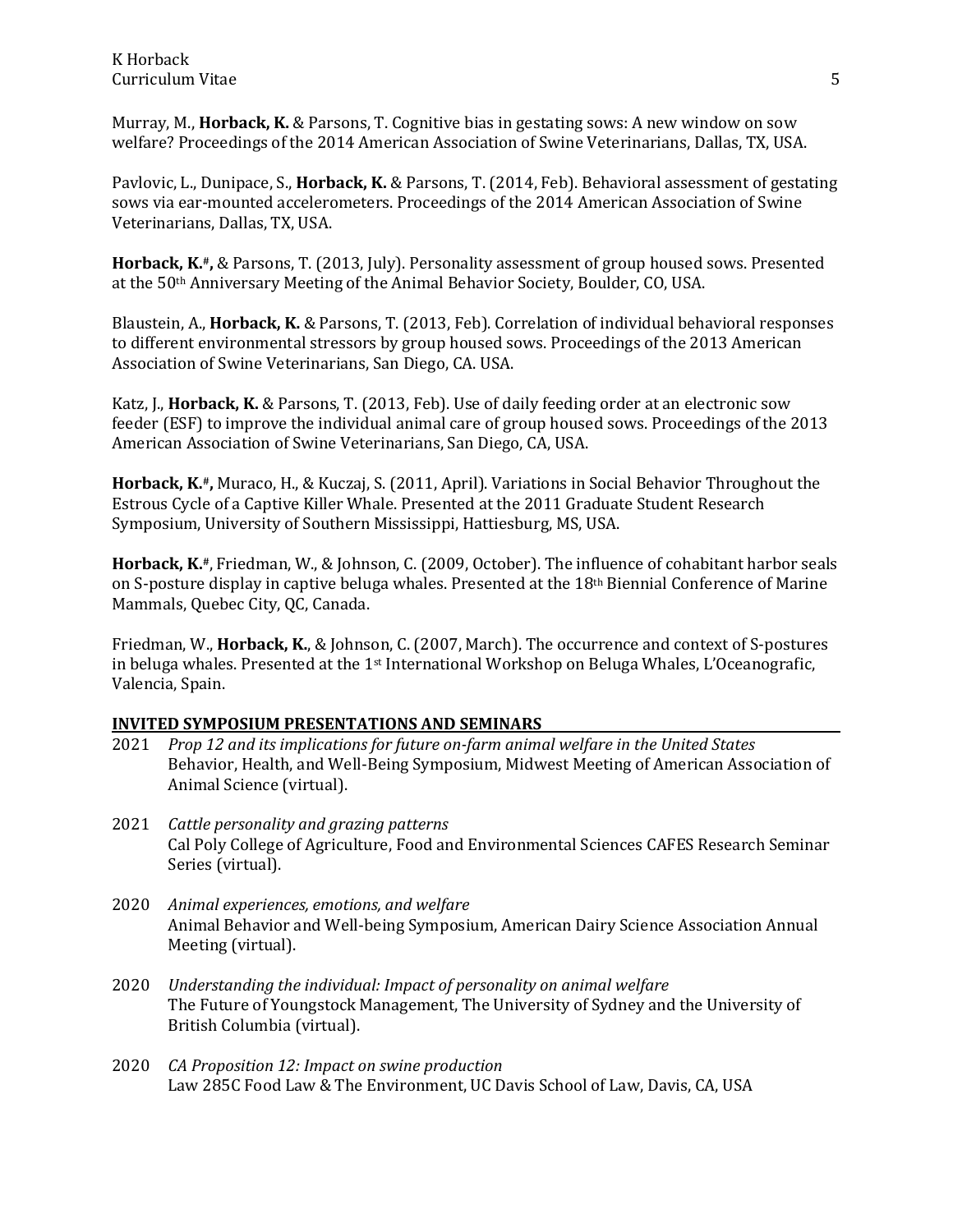Murray, M., **Horback, K.** & Parsons, T. Cognitive bias in gestating sows: A new window on sow welfare? Proceedings of the 2014 American Association of Swine Veterinarians, Dallas, TX, USA.

Pavlovic, L., Dunipace, S., **Horback, K.** & Parsons, T. (2014, Feb). Behavioral assessment of gestating sows via ear-mounted accelerometers. Proceedings of the 2014 American Association of Swine Veterinarians, Dallas, TX, USA.

**Horback, K.#,** & Parsons, T. (2013, July). Personality assessment of group housed sows. Presented at the 50th Anniversary Meeting of the Animal Behavior Society, Boulder, CO, USA.

Blaustein, A., **Horback, K.** & Parsons, T. (2013, Feb). Correlation of individual behavioral responses to different environmental stressors by group housed sows. Proceedings of the 2013 American Association of Swine Veterinarians, San Diego, CA. USA.

Katz, J., **Horback, K.** & Parsons, T. (2013, Feb). Use of daily feeding order at an electronic sow feeder (ESF) to improve the individual animal care of group housed sows. Proceedings of the 2013 American Association of Swine Veterinarians, San Diego, CA, USA.

**Horback, K.#,** Muraco, H., & Kuczaj, S. (2011, April). Variations in Social Behavior Throughout the Estrous Cycle of a Captive Killer Whale. Presented at the 2011 Graduate Student Research Symposium, University of Southern Mississippi, Hattiesburg, MS, USA.

**Horback, K.#**, Friedman, W., & Johnson, C. (2009, October). The influence of cohabitant harbor seals on S-posture display in captive beluga whales. Presented at the 18th Biennial Conference of Marine Mammals, Quebec City, QC, Canada.

Friedman, W., **Horback, K.**, & Johnson, C. (2007, March). The occurrence and context of S-postures in beluga whales. Presented at the 1st International Workshop on Beluga Whales, L'Oceanografic, Valencia, Spain.

## **INVITED SYMPOSIUM PRESENTATIONS AND SEMINARS**

- 2021 *Prop 12 and its implications for future on-farm animal welfare in the United States* Behavior, Health, and Well-Being Symposium, Midwest Meeting of American Association of Animal Science (virtual).
- 2021 *Cattle personality and grazing patterns* Cal Poly College of Agriculture, Food and Environmental Sciences CAFES Research Seminar Series (virtual).
- 2020 *Animal experiences, emotions, and welfare* Animal Behavior and Well-being Symposium, American Dairy Science Association Annual Meeting (virtual).
- 2020 *Understanding the individual: Impact of personality on animal welfare* The Future of Youngstock Management, The University of Sydney and the University of British Columbia (virtual).
- 2020 *CA Proposition 12: Impact on swine production* Law 285C Food Law & The Environment, UC Davis School of Law, Davis, CA, USA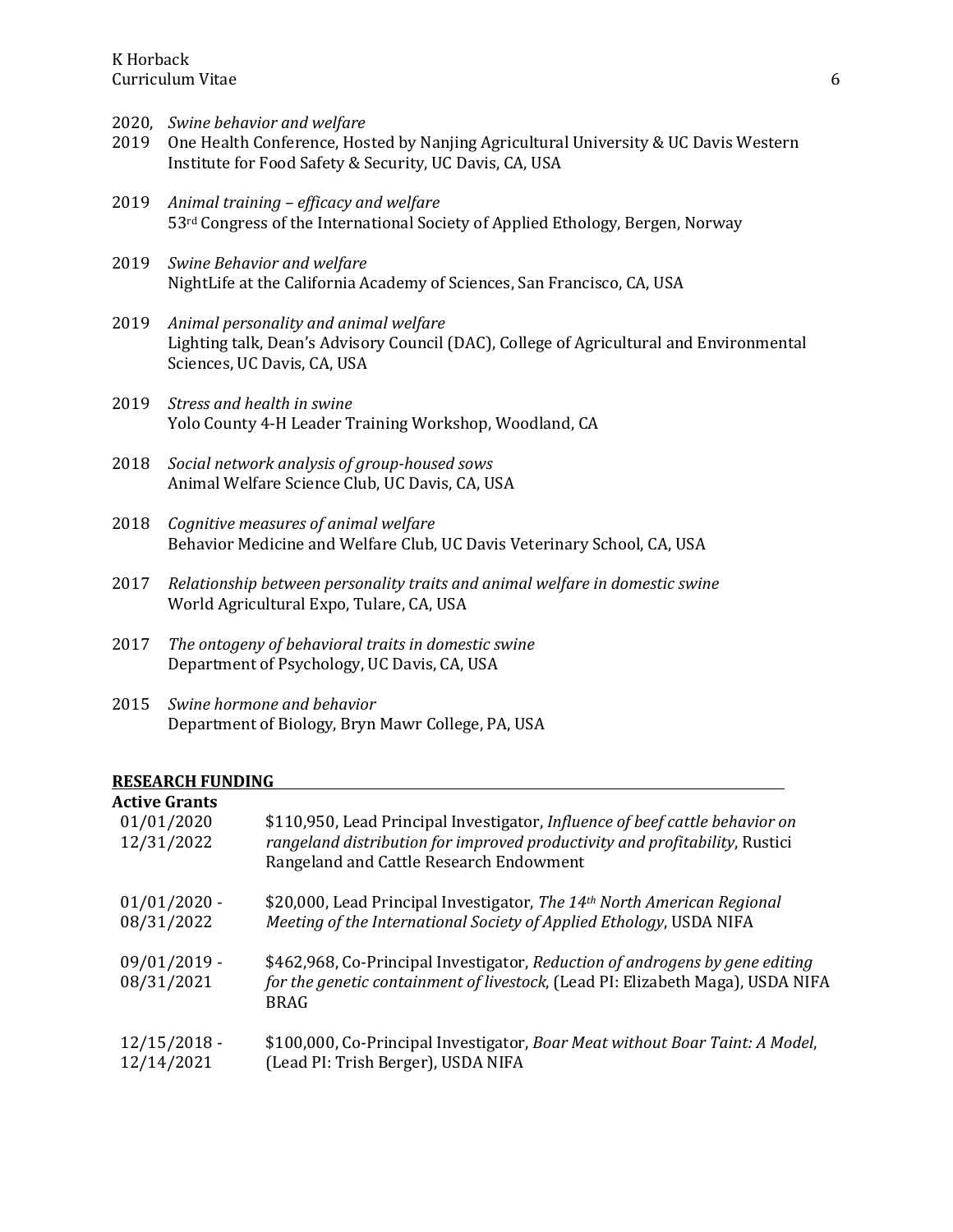K Horback<br>Curriculum Vitae Curriculum Vitae 6

- 2020, *Swine behavior and welfare*
- 2019 One Health Conference, Hosted by Nanjing Agricultural University & UC Davis Western Institute for Food Safety & Security, UC Davis, CA, USA
- 2019 *Animal training – efficacy and welfare* 53rd Congress of the International Society of Applied Ethology, Bergen, Norway
- 2019 *Swine Behavior and welfare* NightLife at the California Academy of Sciences, San Francisco, CA, USA
- 2019 *Animal personality and animal welfare* Lighting talk, Dean's Advisory Council (DAC), College of Agricultural and Environmental Sciences, UC Davis, CA, USA
- 2019 *Stress and health in swine* Yolo County 4-H Leader Training Workshop, Woodland, CA
- 2018 *Social network analysis of group-housed sows* Animal Welfare Science Club, UC Davis, CA, USA
- 2018 *Cognitive measures of animal welfare* Behavior Medicine and Welfare Club, UC Davis Veterinary School, CA, USA
- 2017 *Relationship between personality traits and animal welfare in domestic swine* World Agricultural Expo, Tulare, CA, USA
- 2017 *The ontogeny of behavioral traits in domestic swine* Department of Psychology, UC Davis, CA, USA
- 2015 *Swine hormone and behavior* Department of Biology, Bryn Mawr College, PA, USA

#### **RESEARCH FUNDING**

| <b>Active Grants</b>         | \$110,950, Lead Principal Investigator, <i>Influence of beef cattle behavior on</i>                                                                                           |
|------------------------------|-------------------------------------------------------------------------------------------------------------------------------------------------------------------------------|
| 01/01/2020                   | rangeland distribution for improved productivity and profitability, Rustici                                                                                                   |
| 12/31/2022                   | Rangeland and Cattle Research Endowment                                                                                                                                       |
| $01/01/2020$ -               | \$20,000, Lead Principal Investigator, The 14th North American Regional                                                                                                       |
| 08/31/2022                   | Meeting of the International Society of Applied Ethology, USDA NIFA                                                                                                           |
| $09/01/2019$ -<br>08/31/2021 | \$462,968, Co-Principal Investigator, Reduction of androgens by gene editing<br>for the genetic containment of livestock, (Lead PI: Elizabeth Maga), USDA NIFA<br><b>BRAG</b> |
| $12/15/2018 -$               | \$100,000, Co-Principal Investigator, Boar Meat without Boar Taint: A Model,                                                                                                  |
| 12/14/2021                   | (Lead PI: Trish Berger), USDA NIFA                                                                                                                                            |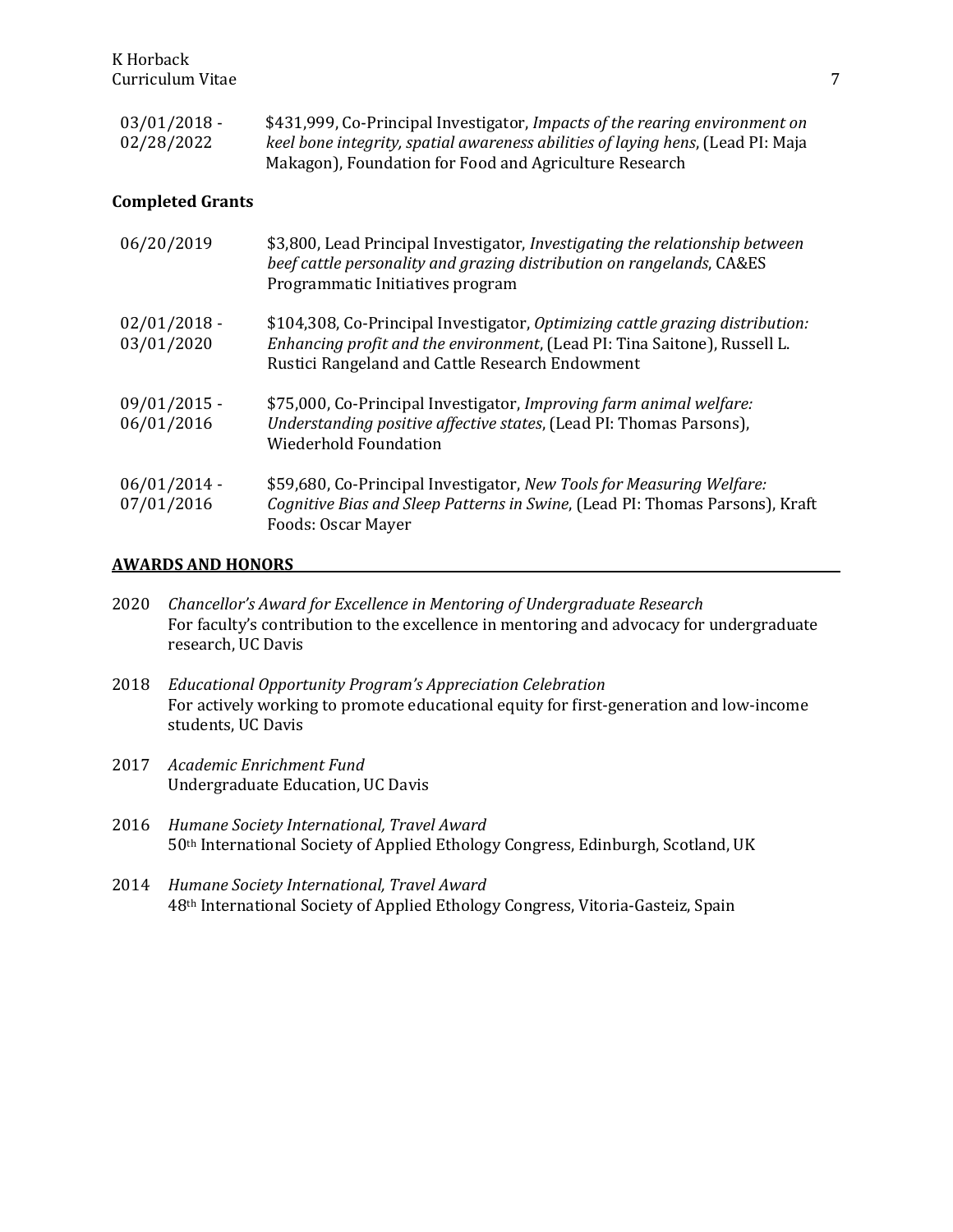| $03/01/2018$ - | \$431,999, Co-Principal Investigator, Impacts of the rearing environment on     |
|----------------|---------------------------------------------------------------------------------|
| 02/28/2022     | keel bone integrity, spatial awareness abilities of laying hens, (Lead PI: Maja |
|                | Makagon), Foundation for Food and Agriculture Research                          |

### **Completed Grants**

| 06/20/2019                   | \$3,800, Lead Principal Investigator, Investigating the relationship between<br>beef cattle personality and grazing distribution on rangelands, CA&ES<br>Programmatic Initiatives program                     |
|------------------------------|---------------------------------------------------------------------------------------------------------------------------------------------------------------------------------------------------------------|
| $02/01/2018$ -<br>03/01/2020 | \$104,308, Co-Principal Investigator, Optimizing cattle grazing distribution:<br>Enhancing profit and the environment, (Lead PI: Tina Saitone), Russell L.<br>Rustici Rangeland and Cattle Research Endowment |
| $09/01/2015$ -<br>06/01/2016 | \$75,000, Co-Principal Investigator, Improving farm animal welfare:<br>Understanding positive affective states, (Lead PI: Thomas Parsons),<br><b>Wiederhold Foundation</b>                                    |
| $06/01/2014$ -<br>07/01/2016 | \$59,680, Co-Principal Investigator, New Tools for Measuring Welfare:<br>Cognitive Bias and Sleep Patterns in Swine, (Lead PI: Thomas Parsons), Kraft<br><b>Foods: Oscar Mayer</b>                            |

#### **AWARDS AND HONORS**

- 2020 *Chancellor's Award for Excellence in Mentoring of Undergraduate Research* For faculty's contribution to the excellence in mentoring and advocacy for undergraduate research, UC Davis
- 2018 *Educational Opportunity Program's Appreciation Celebration* For actively working to promote educational equity for first-generation and low-income students, UC Davis
- 2017 *Academic Enrichment Fund* Undergraduate Education, UC Davis
- 2016 *Humane Society International, Travel Award* 50th International Society of Applied Ethology Congress, Edinburgh, Scotland, UK
- 2014 *Humane Society International, Travel Award* 48th International Society of Applied Ethology Congress, Vitoria-Gasteiz, Spain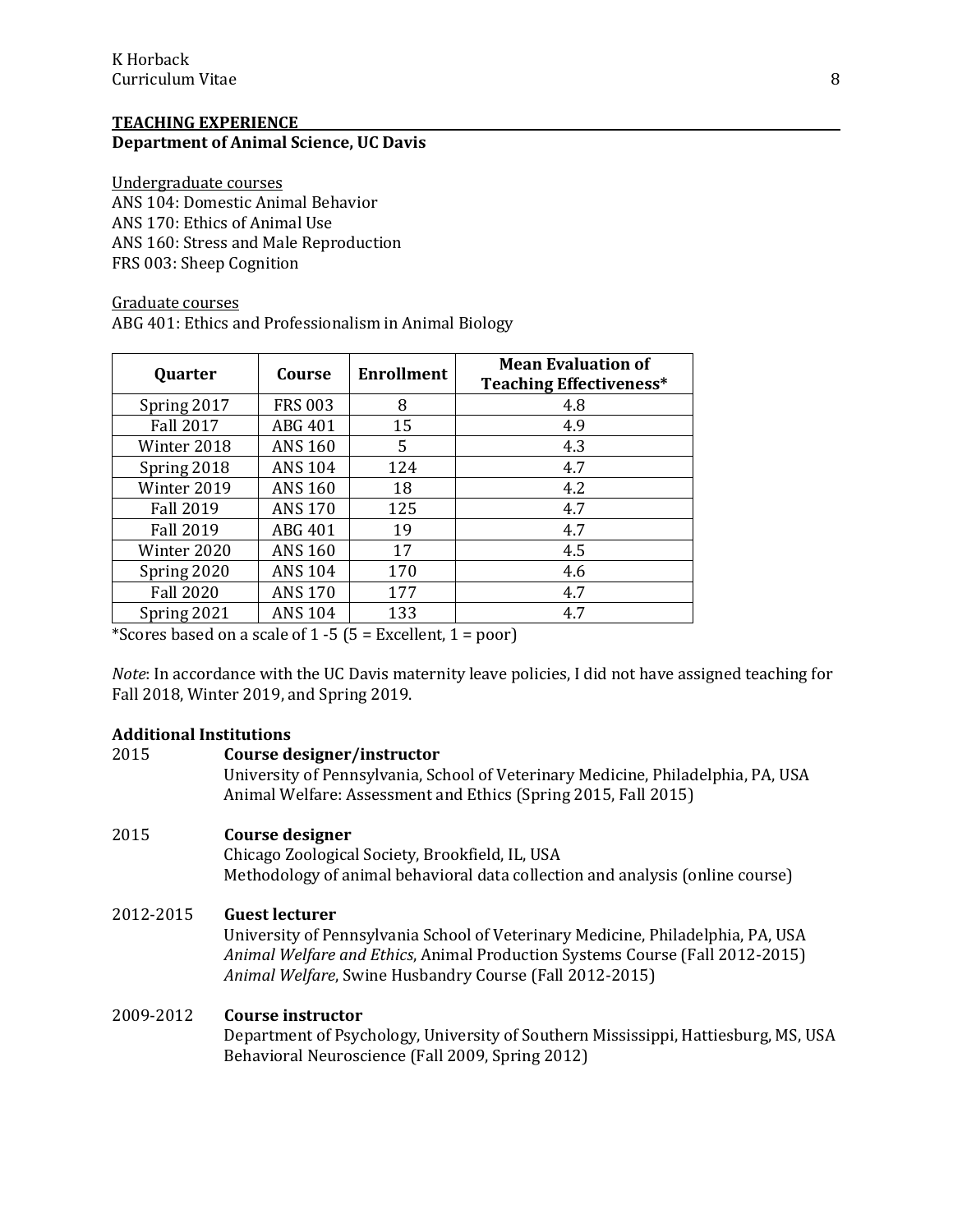#### **TEACHING EXPERIENCE Department of Animal Science, UC Davis**

Undergraduate courses ANS 104: Domestic Animal Behavior ANS 170: Ethics of Animal Use ANS 160: Stress and Male Reproduction FRS 003: Sheep Cognition

#### Graduate courses ABG 401: Ethics and Professionalism in Animal Biology

| Course         | <b>Enrollment</b> | <b>Mean Evaluation of</b><br><b>Teaching Effectiveness*</b> |
|----------------|-------------------|-------------------------------------------------------------|
| <b>FRS 003</b> | 8                 | 4.8                                                         |
| ABG 401        | 15                | 4.9                                                         |
| <b>ANS 160</b> | 5                 | 4.3                                                         |
| <b>ANS 104</b> | 124               | 4.7                                                         |
| <b>ANS 160</b> | 18                | 4.2                                                         |
| <b>ANS 170</b> | 125               | 4.7                                                         |
| ABG 401        | 19                | 4.7                                                         |
| <b>ANS 160</b> | 17                | 4.5                                                         |
| <b>ANS 104</b> | 170               | 4.6                                                         |
| <b>ANS 170</b> | 177               | 4.7                                                         |
| <b>ANS 104</b> | 133               | 4.7                                                         |
|                |                   |                                                             |

\*Scores based on a scale of  $1 - 5$  (5 = Excellent,  $1 = poor$ )

*Note*: In accordance with the UC Davis maternity leave policies, I did not have assigned teaching for Fall 2018, Winter 2019, and Spring 2019.

## **Additional Institutions**

# 2015 **Course designer/instructor** University of Pennsylvania, School of Veterinary Medicine, Philadelphia, PA, USA Animal Welfare: Assessment and Ethics (Spring 2015, Fall 2015) 2015 **Course designer** Chicago Zoological Society, Brookfield, IL, USA Methodology of animal behavioral data collection and analysis (online course)

## 2012-2015 **Guest lecturer**

University of Pennsylvania School of Veterinary Medicine, Philadelphia, PA, USA *Animal Welfare and Ethics*, Animal Production Systems Course (Fall 2012-2015) *Animal Welfare*, Swine Husbandry Course (Fall 2012-2015)

## 2009-2012 **Course instructor**

Department of Psychology, University of Southern Mississippi, Hattiesburg, MS, USA Behavioral Neuroscience (Fall 2009, Spring 2012)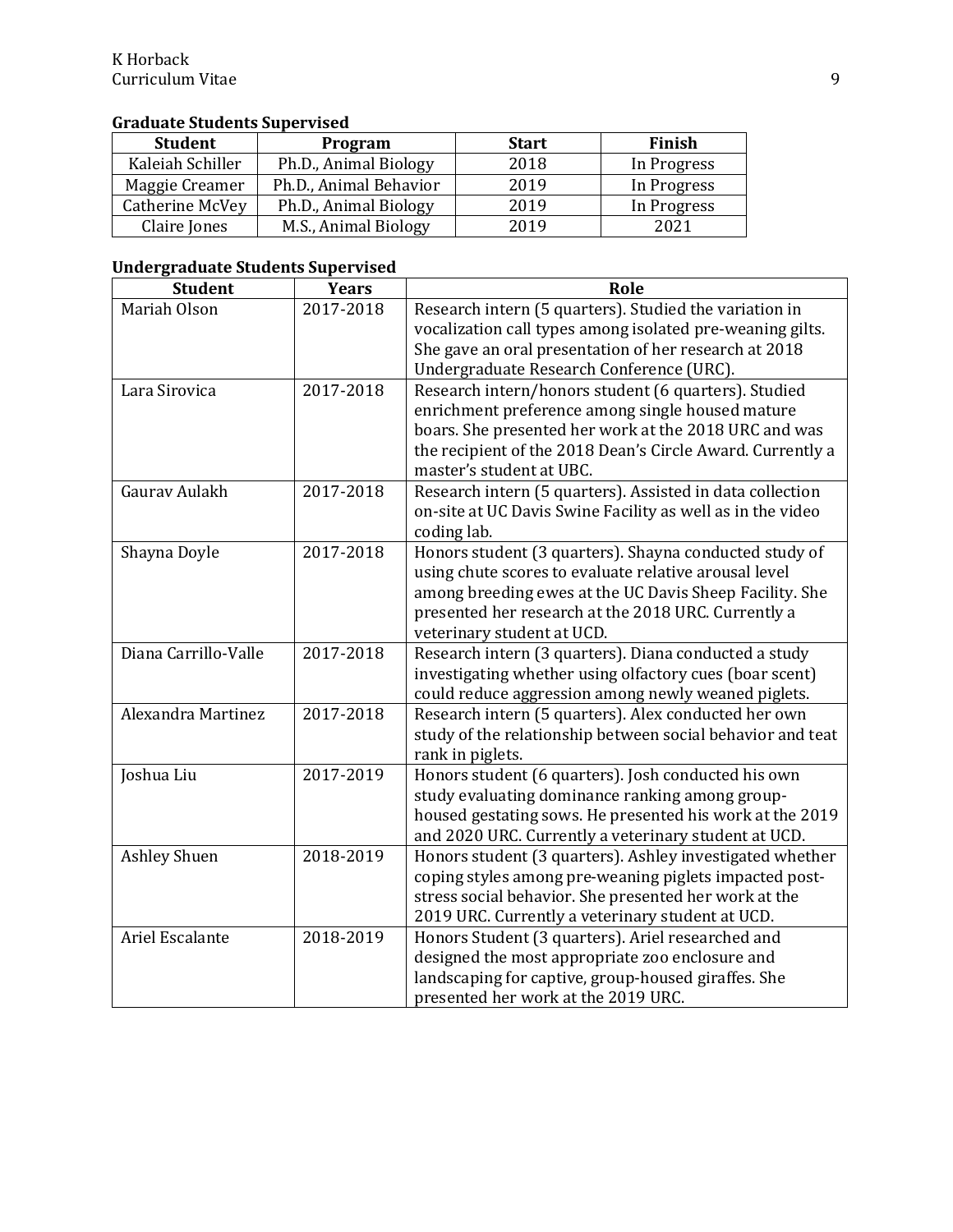# **Graduate Students Supervised**

| <b>Student</b>   | Program                | <b>Start</b> | Finish      |
|------------------|------------------------|--------------|-------------|
| Kaleiah Schiller | Ph.D., Animal Biology  | 2018         | In Progress |
| Maggie Creamer   | Ph.D., Animal Behavior | 2019         | In Progress |
| Catherine McVey  | Ph.D., Animal Biology  | 2019         | In Progress |
| Claire Jones     | M.S., Animal Biology   | 2019         | 2021        |

## **Undergraduate Students Supervised**

| <b>Student</b>       | <b>Years</b> | Role                                                                                                                                                                                                                                                            |
|----------------------|--------------|-----------------------------------------------------------------------------------------------------------------------------------------------------------------------------------------------------------------------------------------------------------------|
| Mariah Olson         | 2017-2018    | Research intern (5 quarters). Studied the variation in<br>vocalization call types among isolated pre-weaning gilts.<br>She gave an oral presentation of her research at 2018                                                                                    |
|                      |              | Undergraduate Research Conference (URC).                                                                                                                                                                                                                        |
| Lara Sirovica        | 2017-2018    | Research intern/honors student (6 quarters). Studied<br>enrichment preference among single housed mature<br>boars. She presented her work at the 2018 URC and was<br>the recipient of the 2018 Dean's Circle Award. Currently a<br>master's student at UBC.     |
| Gaurav Aulakh        | 2017-2018    | Research intern (5 quarters). Assisted in data collection<br>on-site at UC Davis Swine Facility as well as in the video<br>coding lab.                                                                                                                          |
| Shayna Doyle         | 2017-2018    | Honors student (3 quarters). Shayna conducted study of<br>using chute scores to evaluate relative arousal level<br>among breeding ewes at the UC Davis Sheep Facility. She<br>presented her research at the 2018 URC. Currently a<br>veterinary student at UCD. |
| Diana Carrillo-Valle | 2017-2018    | Research intern (3 quarters). Diana conducted a study<br>investigating whether using olfactory cues (boar scent)<br>could reduce aggression among newly weaned piglets.                                                                                         |
| Alexandra Martinez   | 2017-2018    | Research intern (5 quarters). Alex conducted her own<br>study of the relationship between social behavior and teat<br>rank in piglets.                                                                                                                          |
| Joshua Liu           | 2017-2019    | Honors student (6 quarters). Josh conducted his own<br>study evaluating dominance ranking among group-<br>housed gestating sows. He presented his work at the 2019<br>and 2020 URC. Currently a veterinary student at UCD.                                      |
| <b>Ashley Shuen</b>  | 2018-2019    | Honors student (3 quarters). Ashley investigated whether<br>coping styles among pre-weaning piglets impacted post-<br>stress social behavior. She presented her work at the<br>2019 URC. Currently a veterinary student at UCD.                                 |
| Ariel Escalante      | 2018-2019    | Honors Student (3 quarters). Ariel researched and<br>designed the most appropriate zoo enclosure and<br>landscaping for captive, group-housed giraffes. She<br>presented her work at the 2019 URC.                                                              |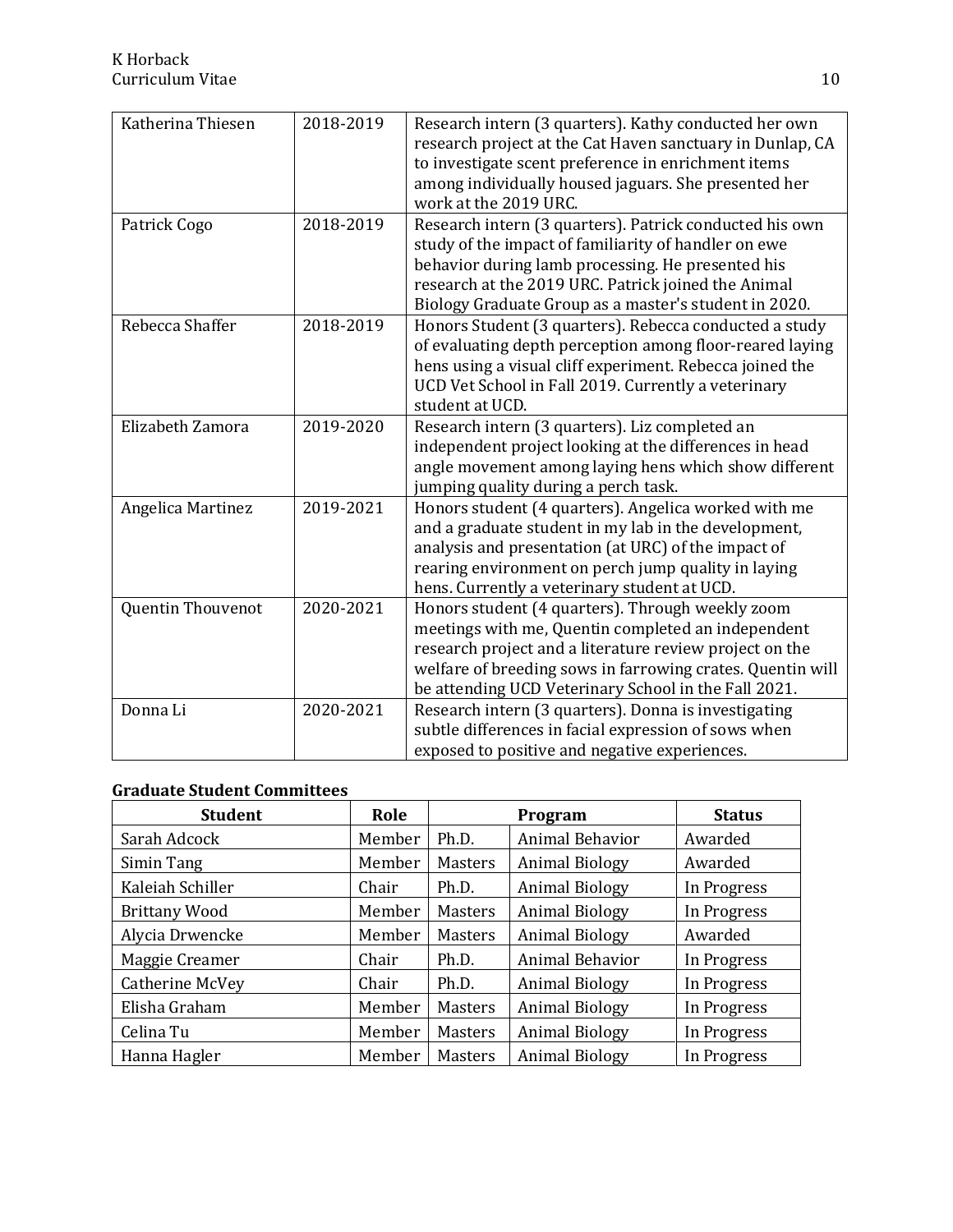| Katherina Thiesen | 2018-2019 | Research intern (3 quarters). Kathy conducted her own<br>research project at the Cat Haven sanctuary in Dunlap, CA<br>to investigate scent preference in enrichment items<br>among individually housed jaguars. She presented her<br>work at the 2019 URC.                              |
|-------------------|-----------|-----------------------------------------------------------------------------------------------------------------------------------------------------------------------------------------------------------------------------------------------------------------------------------------|
| Patrick Cogo      | 2018-2019 | Research intern (3 quarters). Patrick conducted his own<br>study of the impact of familiarity of handler on ewe<br>behavior during lamb processing. He presented his<br>research at the 2019 URC. Patrick joined the Animal<br>Biology Graduate Group as a master's student in 2020.    |
| Rebecca Shaffer   | 2018-2019 | Honors Student (3 quarters). Rebecca conducted a study<br>of evaluating depth perception among floor-reared laying<br>hens using a visual cliff experiment. Rebecca joined the<br>UCD Vet School in Fall 2019. Currently a veterinary<br>student at UCD.                                |
| Elizabeth Zamora  | 2019-2020 | Research intern (3 quarters). Liz completed an<br>independent project looking at the differences in head<br>angle movement among laying hens which show different<br>jumping quality during a perch task.                                                                               |
| Angelica Martinez | 2019-2021 | Honors student (4 quarters). Angelica worked with me<br>and a graduate student in my lab in the development,<br>analysis and presentation (at URC) of the impact of<br>rearing environment on perch jump quality in laying<br>hens. Currently a veterinary student at UCD.              |
| Quentin Thouvenot | 2020-2021 | Honors student (4 quarters). Through weekly zoom<br>meetings with me, Quentin completed an independent<br>research project and a literature review project on the<br>welfare of breeding sows in farrowing crates. Quentin will<br>be attending UCD Veterinary School in the Fall 2021. |
| Donna Li          | 2020-2021 | Research intern (3 quarters). Donna is investigating<br>subtle differences in facial expression of sows when<br>exposed to positive and negative experiences.                                                                                                                           |

## **Graduate Student Committees**

| <b>Student</b>       | Role   |                | Program               | <b>Status</b> |
|----------------------|--------|----------------|-----------------------|---------------|
| Sarah Adcock         | Member | Ph.D.          | Animal Behavior       | Awarded       |
| Simin Tang           | Member | <b>Masters</b> | <b>Animal Biology</b> | Awarded       |
| Kaleiah Schiller     | Chair  | Ph.D.          | <b>Animal Biology</b> | In Progress   |
| <b>Brittany Wood</b> | Member | <b>Masters</b> | <b>Animal Biology</b> | In Progress   |
| Alycia Drwencke      | Member | <b>Masters</b> | <b>Animal Biology</b> | Awarded       |
| Maggie Creamer       | Chair  | Ph.D.          | Animal Behavior       | In Progress   |
| Catherine McVey      | Chair  | Ph.D.          | <b>Animal Biology</b> | In Progress   |
| Elisha Graham        | Member | <b>Masters</b> | <b>Animal Biology</b> | In Progress   |
| Celina Tu            | Member | <b>Masters</b> | <b>Animal Biology</b> | In Progress   |
| Hanna Hagler         | Member | <b>Masters</b> | <b>Animal Biology</b> | In Progress   |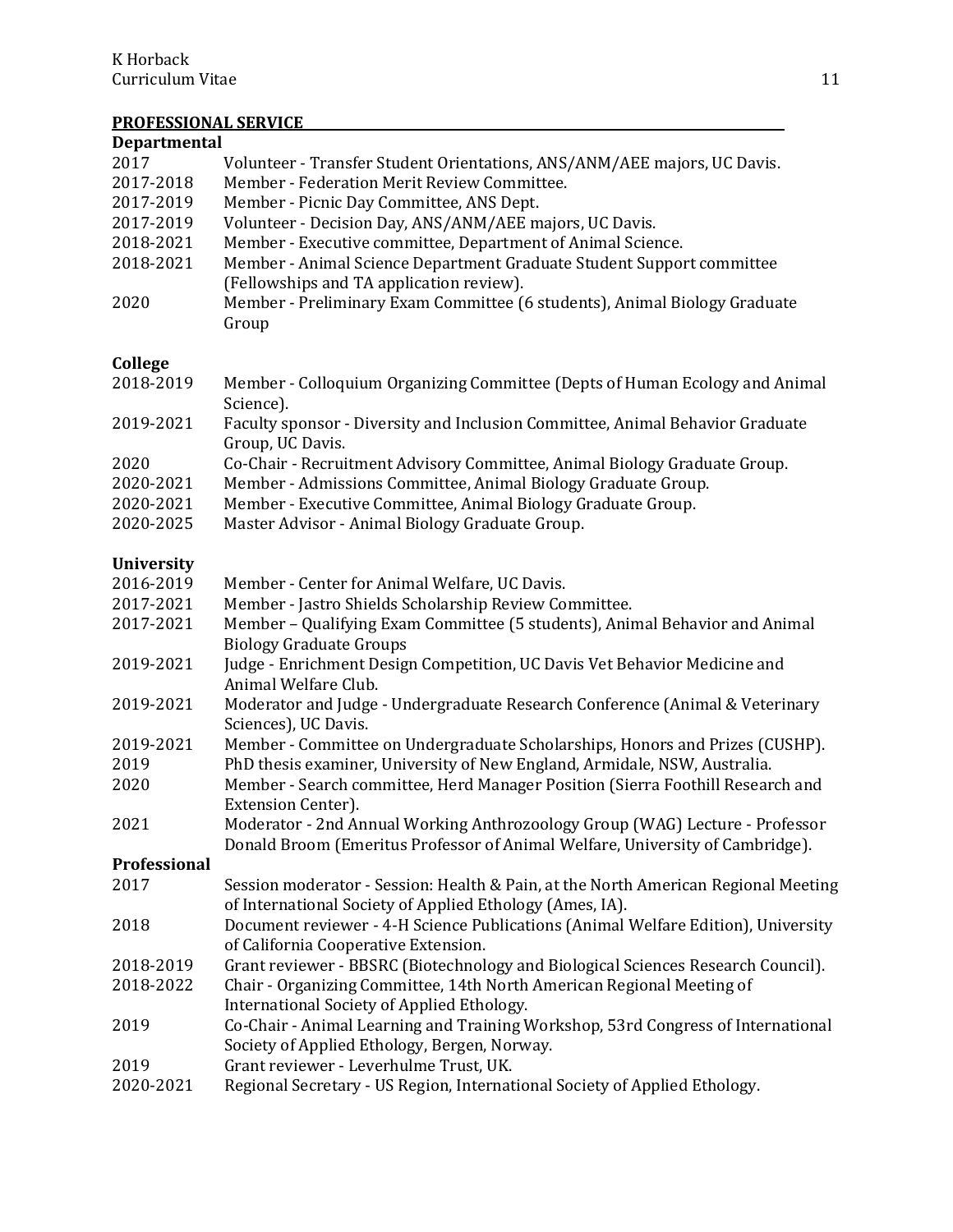# **PROFESSIONAL SERVICE**

| <b>Departmental</b> |                                                                                                                                                               |  |  |  |
|---------------------|---------------------------------------------------------------------------------------------------------------------------------------------------------------|--|--|--|
| 2017                | Volunteer - Transfer Student Orientations, ANS/ANM/AEE majors, UC Davis.                                                                                      |  |  |  |
| 2017-2018           | Member - Federation Merit Review Committee.                                                                                                                   |  |  |  |
| 2017-2019           | Member - Picnic Day Committee, ANS Dept.                                                                                                                      |  |  |  |
| 2017-2019           | Volunteer - Decision Day, ANS/ANM/AEE majors, UC Davis.                                                                                                       |  |  |  |
| 2018-2021           | Member - Executive committee, Department of Animal Science.                                                                                                   |  |  |  |
| 2018-2021           | Member - Animal Science Department Graduate Student Support committee                                                                                         |  |  |  |
|                     | (Fellowships and TA application review).                                                                                                                      |  |  |  |
| 2020                | Member - Preliminary Exam Committee (6 students), Animal Biology Graduate<br>Group                                                                            |  |  |  |
| College             |                                                                                                                                                               |  |  |  |
| 2018-2019           | Member - Colloquium Organizing Committee (Depts of Human Ecology and Animal<br>Science).                                                                      |  |  |  |
| 2019-2021           | Faculty sponsor - Diversity and Inclusion Committee, Animal Behavior Graduate<br>Group, UC Davis.                                                             |  |  |  |
| 2020                | Co-Chair - Recruitment Advisory Committee, Animal Biology Graduate Group.                                                                                     |  |  |  |
| 2020-2021           | Member - Admissions Committee, Animal Biology Graduate Group.                                                                                                 |  |  |  |
| 2020-2021           | Member - Executive Committee, Animal Biology Graduate Group.                                                                                                  |  |  |  |
| 2020-2025           | Master Advisor - Animal Biology Graduate Group.                                                                                                               |  |  |  |
| <b>University</b>   |                                                                                                                                                               |  |  |  |
| 2016-2019           | Member - Center for Animal Welfare, UC Davis.                                                                                                                 |  |  |  |
| 2017-2021           | Member - Jastro Shields Scholarship Review Committee.                                                                                                         |  |  |  |
| 2017-2021           | Member - Qualifying Exam Committee (5 students), Animal Behavior and Animal<br><b>Biology Graduate Groups</b>                                                 |  |  |  |
| 2019-2021           | Judge - Enrichment Design Competition, UC Davis Vet Behavior Medicine and<br>Animal Welfare Club.                                                             |  |  |  |
| 2019-2021           | Moderator and Judge - Undergraduate Research Conference (Animal & Veterinary<br>Sciences), UC Davis.                                                          |  |  |  |
| 2019-2021           | Member - Committee on Undergraduate Scholarships, Honors and Prizes (CUSHP).                                                                                  |  |  |  |
| 2019                | PhD thesis examiner, University of New England, Armidale, NSW, Australia.                                                                                     |  |  |  |
| 2020                | Member - Search committee, Herd Manager Position (Sierra Foothill Research and<br><b>Extension Center).</b>                                                   |  |  |  |
| 2021                | Moderator - 2nd Annual Working Anthrozoology Group (WAG) Lecture - Professor<br>Donald Broom (Emeritus Professor of Animal Welfare, University of Cambridge). |  |  |  |
| Professional        |                                                                                                                                                               |  |  |  |
| 2017                | Session moderator - Session: Health & Pain, at the North American Regional Meeting                                                                            |  |  |  |
|                     | of International Society of Applied Ethology (Ames, IA).                                                                                                      |  |  |  |
| 2018                | Document reviewer - 4-H Science Publications (Animal Welfare Edition), University<br>of California Cooperative Extension.                                     |  |  |  |
| 2018-2019           | Grant reviewer - BBSRC (Biotechnology and Biological Sciences Research Council).                                                                              |  |  |  |
| 2018-2022           | Chair - Organizing Committee, 14th North American Regional Meeting of                                                                                         |  |  |  |
|                     | International Society of Applied Ethology.                                                                                                                    |  |  |  |
| 2019                | Co-Chair - Animal Learning and Training Workshop, 53rd Congress of International                                                                              |  |  |  |
|                     | Society of Applied Ethology, Bergen, Norway.                                                                                                                  |  |  |  |
| 2019                | Grant reviewer - Leverhulme Trust, UK.                                                                                                                        |  |  |  |
| 2020-2021           | Regional Secretary - US Region, International Society of Applied Ethology.                                                                                    |  |  |  |